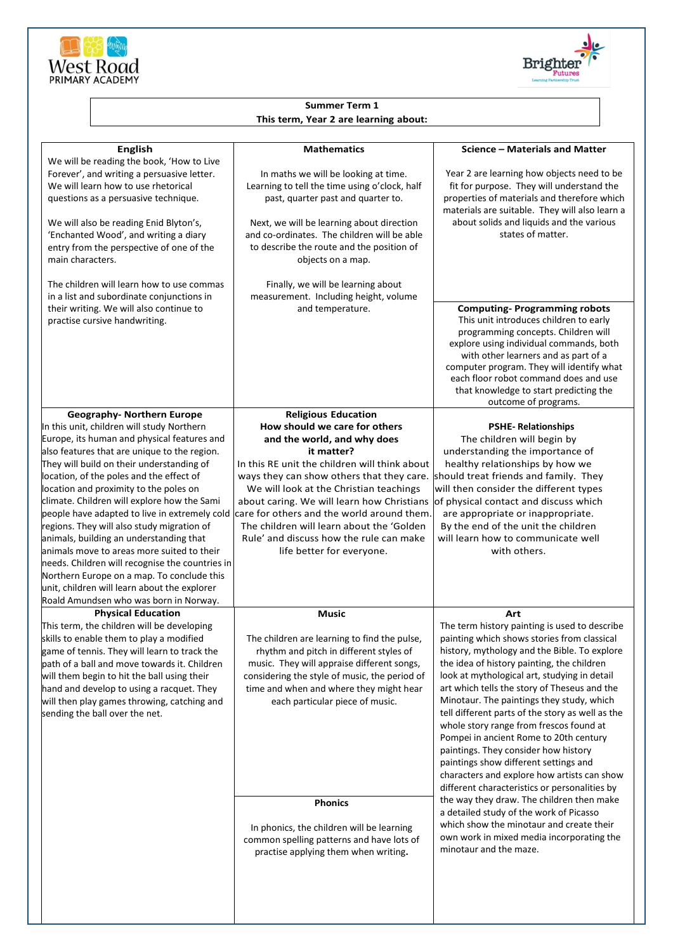



## **Summer Term 1 This term, Year 2 are learning about:**

| <b>English</b><br>We will be reading the book, 'How to Live                                                                                                                                                                                                                                                                                                                                                                                                                                                                                                                                                                                                                                                                                         | <b>Mathematics</b>                                                                                                                                                                                                                                                                                                                                                                                                                                                 | Science - Materials and Matter                                                                                                                                                                                                                                                                                                                                                                                                                                                                                                                                                                                                                                                                                                                                                                                                                                               |
|-----------------------------------------------------------------------------------------------------------------------------------------------------------------------------------------------------------------------------------------------------------------------------------------------------------------------------------------------------------------------------------------------------------------------------------------------------------------------------------------------------------------------------------------------------------------------------------------------------------------------------------------------------------------------------------------------------------------------------------------------------|--------------------------------------------------------------------------------------------------------------------------------------------------------------------------------------------------------------------------------------------------------------------------------------------------------------------------------------------------------------------------------------------------------------------------------------------------------------------|------------------------------------------------------------------------------------------------------------------------------------------------------------------------------------------------------------------------------------------------------------------------------------------------------------------------------------------------------------------------------------------------------------------------------------------------------------------------------------------------------------------------------------------------------------------------------------------------------------------------------------------------------------------------------------------------------------------------------------------------------------------------------------------------------------------------------------------------------------------------------|
| Forever', and writing a persuasive letter.<br>We will learn how to use rhetorical<br>questions as a persuasive technique.<br>We will also be reading Enid Blyton's,<br>'Enchanted Wood', and writing a diary<br>entry from the perspective of one of the<br>main characters.                                                                                                                                                                                                                                                                                                                                                                                                                                                                        | In maths we will be looking at time.<br>Learning to tell the time using o'clock, half<br>past, quarter past and quarter to.<br>Next, we will be learning about direction<br>and co-ordinates. The children will be able<br>to describe the route and the position of<br>objects on a map.                                                                                                                                                                          | Year 2 are learning how objects need to be<br>fit for purpose. They will understand the<br>properties of materials and therefore which<br>materials are suitable. They will also learn a<br>about solids and liquids and the various<br>states of matter.                                                                                                                                                                                                                                                                                                                                                                                                                                                                                                                                                                                                                    |
| The children will learn how to use commas<br>in a list and subordinate conjunctions in<br>their writing. We will also continue to<br>practise cursive handwriting.                                                                                                                                                                                                                                                                                                                                                                                                                                                                                                                                                                                  | Finally, we will be learning about<br>measurement. Including height, volume<br>and temperature.                                                                                                                                                                                                                                                                                                                                                                    | <b>Computing-Programming robots</b><br>This unit introduces children to early<br>programming concepts. Children will<br>explore using individual commands, both<br>with other learners and as part of a<br>computer program. They will identify what<br>each floor robot command does and use<br>that knowledge to start predicting the<br>outcome of programs.                                                                                                                                                                                                                                                                                                                                                                                                                                                                                                              |
| <b>Geography- Northern Europe</b><br>In this unit, children will study Northern<br>Europe, its human and physical features and<br>also features that are unique to the region.<br>They will build on their understanding of<br>location, of the poles and the effect of<br>location and proximity to the poles on<br>climate. Children will explore how the Sami<br>people have adapted to live in extremely cold<br>regions. They will also study migration of<br>animals, building an understanding that<br>animals move to areas more suited to their<br>needs. Children will recognise the countries in<br>Northern Europe on a map. To conclude this<br>unit, children will learn about the explorer<br>Roald Amundsen who was born in Norway. | <b>Religious Education</b><br>How should we care for others<br>and the world, and why does<br>it matter?<br>In this RE unit the children will think about<br>ways they can show others that they care.<br>We will look at the Christian teachings<br>about caring. We will learn how Christians<br>care for others and the world around them.<br>The children will learn about the 'Golden<br>Rule' and discuss how the rule can make<br>life better for everyone. | <b>PSHE-Relationships</b><br>The children will begin by<br>understanding the importance of<br>healthy relationships by how we<br>should treat friends and family. They<br>will then consider the different types<br>of physical contact and discuss which<br>are appropriate or inappropriate.<br>By the end of the unit the children<br>will learn how to communicate well<br>with others.                                                                                                                                                                                                                                                                                                                                                                                                                                                                                  |
| <b>Physical Education</b>                                                                                                                                                                                                                                                                                                                                                                                                                                                                                                                                                                                                                                                                                                                           | <b>Music</b>                                                                                                                                                                                                                                                                                                                                                                                                                                                       | Art                                                                                                                                                                                                                                                                                                                                                                                                                                                                                                                                                                                                                                                                                                                                                                                                                                                                          |
| This term, the children will be developing<br>skills to enable them to play a modified<br>game of tennis. They will learn to track the<br>path of a ball and move towards it. Children<br>will them begin to hit the ball using their<br>hand and develop to using a racquet. They<br>will then play games throwing, catching and<br>sending the ball over the net.                                                                                                                                                                                                                                                                                                                                                                                 | The children are learning to find the pulse,<br>rhythm and pitch in different styles of<br>music. They will appraise different songs,<br>considering the style of music, the period of<br>time and when and where they might hear<br>each particular piece of music.                                                                                                                                                                                               | The term history painting is used to describe<br>painting which shows stories from classical<br>history, mythology and the Bible. To explore<br>the idea of history painting, the children<br>look at mythological art, studying in detail<br>art which tells the story of Theseus and the<br>Minotaur. The paintings they study, which<br>tell different parts of the story as well as the<br>whole story range from frescos found at<br>Pompei in ancient Rome to 20th century<br>paintings. They consider how history<br>paintings show different settings and<br>characters and explore how artists can show<br>different characteristics or personalities by<br>the way they draw. The children then make<br>a detailed study of the work of Picasso<br>which show the minotaur and create their<br>own work in mixed media incorporating the<br>minotaur and the maze. |
|                                                                                                                                                                                                                                                                                                                                                                                                                                                                                                                                                                                                                                                                                                                                                     | <b>Phonics</b><br>In phonics, the children will be learning<br>common spelling patterns and have lots of<br>practise applying them when writing.                                                                                                                                                                                                                                                                                                                   |                                                                                                                                                                                                                                                                                                                                                                                                                                                                                                                                                                                                                                                                                                                                                                                                                                                                              |